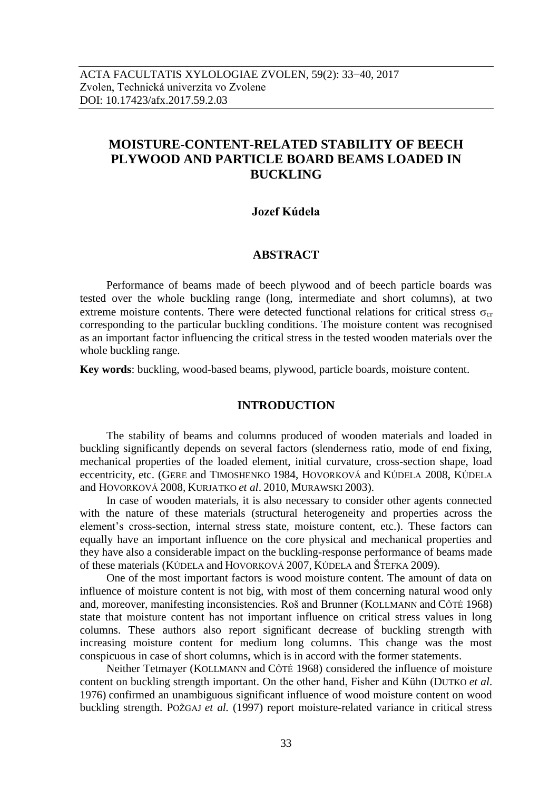# **MOISTURE-CONTENT-RELATED STABILITY OF BEECH PLYWOOD AND PARTICLE BOARD BEAMS LOADED IN BUCKLING**

## **Jozef Kúdela**

#### **ABSTRACT**

Performance of beams made of beech plywood and of beech particle boards was tested over the whole buckling range (long, intermediate and short columns), at two extreme moisture contents. There were detected functional relations for critical stress  $\sigma_{cr}$ corresponding to the particular buckling conditions. The moisture content was recognised as an important factor influencing the critical stress in the tested wooden materials over the whole buckling range.

**Key words**: buckling, wood-based beams, plywood, particle boards, moisture content.

## **INTRODUCTION**

The stability of beams and columns produced of wooden materials and loaded in buckling significantly depends on several factors (slenderness ratio, mode of end fixing, mechanical properties of the loaded element, initial curvature, cross-section shape, load eccentricity, etc. (GERE and TIMOSHENKO 1984, HOVORKOVÁ and KÚDELA 2008, KÚDELA and HOVORKOVÁ 2008, KURJATKO *et al*. 2010, MURAWSKI 2003).

In case of wooden materials, it is also necessary to consider other agents connected with the nature of these materials (structural heterogeneity and properties across the element's cross-section, internal stress state, moisture content, etc.). These factors can equally have an important influence on the core physical and mechanical properties and they have also a considerable impact on the buckling-response performance of beams made of these materials (KÚDELA and HOVORKOVÁ 2007, KÚDELA and ŠTEFKA 2009).

One of the most important factors is wood moisture content. The amount of data on influence of moisture content is not big, with most of them concerning natural wood only and, moreover, manifesting inconsistencies. Roš and Brunner (KOLLMANN and CÔTÉ 1968) state that moisture content has not important influence on critical stress values in long columns. These authors also report significant decrease of buckling strength with increasing moisture content for medium long columns. This change was the most conspicuous in case of short columns, which is in accord with the former statements.

Neither Tetmayer (KOLLMANN and CÔTÉ 1968) considered the influence of moisture content on buckling strength important. On the other hand, Fisher and Kühn (DUTKO *et al*. 1976) confirmed an unambiguous significant influence of wood moisture content on wood buckling strength. POŽGAJ *et al.* (1997) report moisture-related variance in critical stress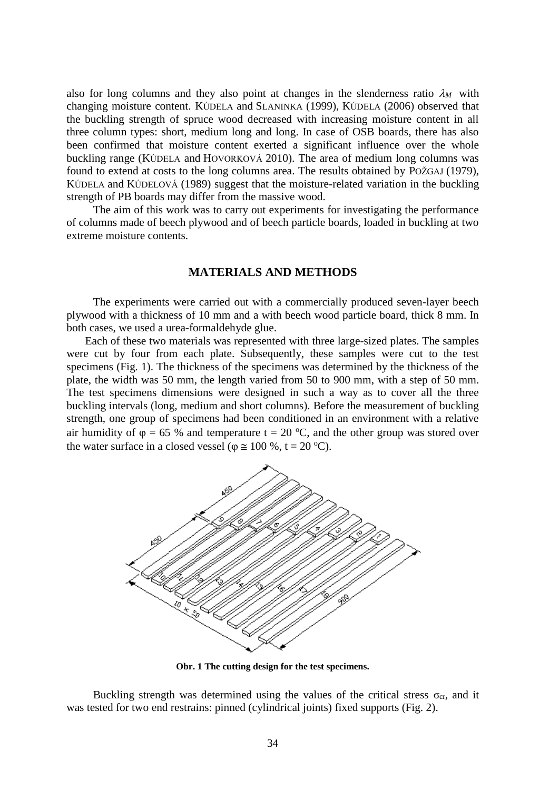also for long columns and they also point at changes in the slenderness ratio  $\lambda_M$  with changing moisture content. KÚDELA and SLANINKA (1999), KÚDELA (2006) observed that the buckling strength of spruce wood decreased with increasing moisture content in all three column types: short, medium long and long. In case of OSB boards, there has also been confirmed that moisture content exerted a significant influence over the whole buckling range (KÚDELA and HOVORKOVÁ 2010). The area of medium long columns was found to extend at costs to the long columns area. The results obtained by POŽGAJ (1979), KÚDELA and KÚDELOVÁ (1989) suggest that the moisture-related variation in the buckling strength of PB boards may differ from the massive wood.

The aim of this work was to carry out experiments for investigating the performance of columns made of beech plywood and of beech particle boards, loaded in buckling at two extreme moisture contents.

### **MATERIALS AND METHODS**

The experiments were carried out with a commercially produced seven-layer beech plywood with a thickness of 10 mm and a with beech wood particle board, thick 8 mm. In both cases, we used a urea-formaldehyde glue.

Each of these two materials was represented with three large-sized plates. The samples were cut by four from each plate. Subsequently, these samples were cut to the test specimens (Fig. 1). The thickness of the specimens was determined by the thickness of the plate, the width was 50 mm, the length varied from 50 to 900 mm, with a step of 50 mm. The test specimens dimensions were designed in such a way as to cover all the three buckling intervals (long, medium and short columns). Before the measurement of buckling strength, one group of specimens had been conditioned in an environment with a relative air humidity of  $\varphi = 65$  % and temperature  $t = 20$  °C, and the other group was stored over the water surface in a closed vessel ( $\varphi \approx 100\%$ , t = 20 °C).



**Obr. 1 The cutting design for the test specimens.**

Buckling strength was determined using the values of the critical stress  $\sigma_{cr}$ , and it was tested for two end restrains: pinned (cylindrical joints) fixed supports (Fig. 2).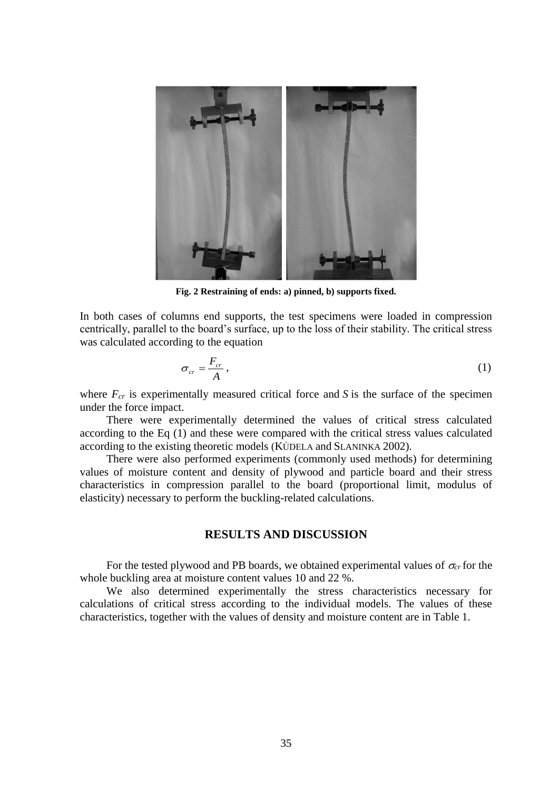

**Fig. 2 Restraining of ends: a) pinned, b) supports fixed.**

In both cases of columns end supports, the test specimens were loaded in compression centrically, parallel to the board's surface, up to the loss of their stability. The critical stress was calculated according to the equation

$$
\sigma_{cr} = \frac{F_{cr}}{A},\tag{1}
$$

where  $F_{cr}$  is experimentally measured critical force and *S* is the surface of the specimen under the force impact.

There were experimentally determined the values of critical stress calculated according to the Eq (1) and these were compared with the critical stress values calculated according to the existing theoretic models (KÚDELA and SLANINKA 2002).

There were also performed experiments (commonly used methods) for determining values of moisture content and density of plywood and particle board and their stress characteristics in compression parallel to the board (proportional limit, modulus of elasticity) necessary to perform the buckling-related calculations.

#### **RESULTS AND DISCUSSION**

For the tested plywood and PB boards, we obtained experimental values of  $\sigma_{cr}$  for the whole buckling area at moisture content values 10 and 22 %.

We also determined experimentally the stress characteristics necessary for calculations of critical stress according to the individual models. The values of these characteristics, together with the values of density and moisture content are in Table 1.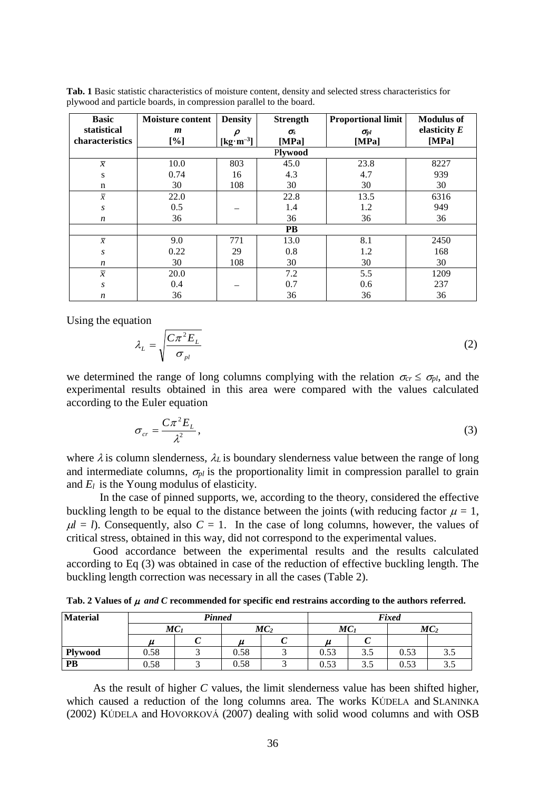| <b>Basic</b>     | <b>Moisture content</b> | <b>Density</b>                             | <b>Strength</b> | <b>Proportional limit</b> | <b>Modulus of</b> |  |  |  |  |  |
|------------------|-------------------------|--------------------------------------------|-----------------|---------------------------|-------------------|--|--|--|--|--|
| statistical      | m                       | $\boldsymbol{\rho}$                        | $\sigma_{s}$    | $\sigma_{pl}$             | elasticity $E$    |  |  |  |  |  |
| characteristics  | [%]                     | $\left[\text{kg}\cdot\text{m}^{-3}\right]$ | [MPa]           | [MPa]                     | [MPa]             |  |  |  |  |  |
|                  | Plywood                 |                                            |                 |                           |                   |  |  |  |  |  |
| $\overline{x}$   | 10.0                    | 803                                        | 45.0            | 23.8                      | 8227              |  |  |  |  |  |
| ${\bf S}$        | 0.74                    | 16                                         | 4.3             | 4.7                       | 939               |  |  |  |  |  |
| $\mathbf n$      | 30                      | 108                                        | 30              | 30                        | 30                |  |  |  |  |  |
| $\overline{x}$   | 22.0                    |                                            | 22.8            | 13.5                      | 6316              |  |  |  |  |  |
| $\boldsymbol{S}$ | 0.5                     |                                            | 1.4             | 1.2                       | 949               |  |  |  |  |  |
| n                | 36                      |                                            | 36              | 36                        | 36                |  |  |  |  |  |
|                  | <b>PB</b>               |                                            |                 |                           |                   |  |  |  |  |  |
| $\overline{x}$   | 9.0                     | 771                                        | 13.0            | 8.1                       | 2450              |  |  |  |  |  |
| S                | 0.22                    | 29                                         | 0.8             | 1.2                       | 168               |  |  |  |  |  |
| n                | 30                      | 108                                        | 30              | 30                        | 30                |  |  |  |  |  |
| $\overline{x}$   | 20.0                    |                                            | 7.2             | 5.5                       | 1209              |  |  |  |  |  |
| S                | 0.4                     |                                            | 0.7             | 0.6                       | 237               |  |  |  |  |  |
| n                | 36                      |                                            | 36              | 36                        | 36                |  |  |  |  |  |

**Tab. 1** Basic statistic characteristics of moisture content, density and selected stress characteristics for plywood and particle boards, in compression parallel to the board.

Using the equation

$$
\lambda_L = \sqrt{\frac{C\pi^2 E_L}{\sigma_{pl}}} \tag{2}
$$

we determined the range of long columns complying with the relation  $\sigma_{cr} \leq \sigma_{pl}$ , and the experimental results obtained in this area were compared with the values calculated according to the Euler equation

$$
\sigma_{cr} = \frac{C\pi^2 E_L}{\lambda^2},\tag{3}
$$

where  $\lambda$  is column slenderness,  $\lambda_l$  is boundary slenderness value between the range of long and intermediate columns,  $\sigma_{nl}$  is the proportionality limit in compression parallel to grain and  $E_l$  is the Young modulus of elasticity.

In the case of pinned supports, we, according to the theory, considered the effective buckling length to be equal to the distance between the joints (with reducing factor  $\mu = 1$ ,  $\mu$  = *l*). Consequently, also *C* = 1. In the case of long columns, however, the values of critical stress, obtained in this way, did not correspond to the experimental values.

Good accordance between the experimental results and the results calculated according to Eq (3) was obtained in case of the reduction of effective buckling length. The buckling length correction was necessary in all the cases (Table 2).

**Tab. 2 Values of**  *and C* **recommended for specific end restrains according to the authors referred.**

| <b>Material</b> | <b>Pinned</b>   |  |                 |  | Fixed           |     |                 |     |
|-----------------|-----------------|--|-----------------|--|-----------------|-----|-----------------|-----|
|                 | MC <sub>1</sub> |  | MC <sub>2</sub> |  | MC <sub>1</sub> |     | MC <sub>2</sub> |     |
|                 |                 |  |                 |  |                 |     |                 |     |
| <b>Plywood</b>  | 0.58            |  | 0.58            |  | 0.53            | 3.5 | 0.53            | 3.5 |
| PB              | 0.58            |  | 0.58            |  | 0.53            | 3.5 | 0.53            | 3.5 |

As the result of higher *C* values, the limit slenderness value has been shifted higher, which caused a reduction of the long columns area. The works KÚDELA and SLANINKA (2002) KÚDELA and HOVORKOVÁ (2007) dealing with solid wood columns and with OSB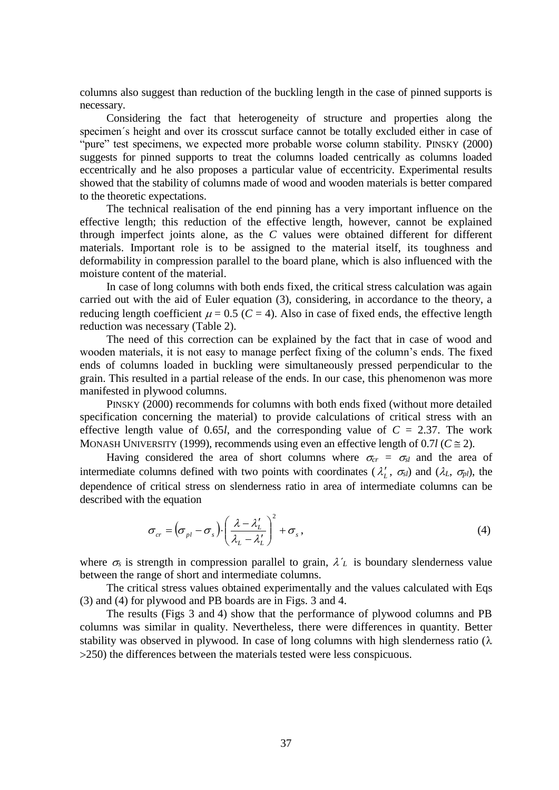columns also suggest than reduction of the buckling length in the case of pinned supports is necessary.

Considering the fact that heterogeneity of structure and properties along the specimen´s height and over its crosscut surface cannot be totally excluded either in case of "pure" test specimens, we expected more probable worse column stability. PINSKY (2000) suggests for pinned supports to treat the columns loaded centrically as columns loaded eccentrically and he also proposes a particular value of eccentricity. Experimental results showed that the stability of columns made of wood and wooden materials is better compared to the theoretic expectations.

The technical realisation of the end pinning has a very important influence on the effective length; this reduction of the effective length, however, cannot be explained through imperfect joints alone, as the *C* values were obtained different for different materials. Important role is to be assigned to the material itself, its toughness and deformability in compression parallel to the board plane, which is also influenced with the moisture content of the material.

In case of long columns with both ends fixed, the critical stress calculation was again carried out with the aid of Euler equation (3), considering, in accordance to the theory, a reducing length coefficient  $\mu = 0.5$  ( $C = 4$ ). Also in case of fixed ends, the effective length reduction was necessary (Table 2).

The need of this correction can be explained by the fact that in case of wood and wooden materials, it is not easy to manage perfect fixing of the column's ends. The fixed ends of columns loaded in buckling were simultaneously pressed perpendicular to the grain. This resulted in a partial release of the ends. In our case, this phenomenon was more manifested in plywood columns.

PINSKY (2000) recommends for columns with both ends fixed (without more detailed specification concerning the material) to provide calculations of critical stress with an effective length value of 0.65*l*, and the corresponding value of  $C = 2.37$ . The work MONASH UNIVERSITY (1999), recommends using even an effective length of 0.7*l* ( $C \approx 2$ ).

Having considered the area of short columns where  $\sigma_{cr} = \sigma_{sl}$  and the area of intermediate columns defined with two points with coordinates  $(\lambda'_L, \sigma_{sl})$  and  $(\lambda_L, \sigma_{pl})$ , the dependence of critical stress on slenderness ratio in area of intermediate columns can be described with the equation

$$
\sigma_{cr} = \left(\sigma_{pl} - \sigma_s\right) \cdot \left(\frac{\lambda - \lambda'_L}{\lambda_L - \lambda'_L}\right)^2 + \sigma_s,
$$
\n(4)

where  $\sigma_s$  is strength in compression parallel to grain,  $\lambda'_L$  is boundary slenderness value between the range of short and intermediate columns.

The critical stress values obtained experimentally and the values calculated with Eqs (3) and (4) for plywood and PB boards are in Figs. 3 and 4.

The results (Figs 3 and 4) show that the performance of plywood columns and PB columns was similar in quality. Nevertheless, there were differences in quantity. Better stability was observed in plywood. In case of long columns with high slenderness ratio  $(\lambda)$ 250) the differences between the materials tested were less conspicuous.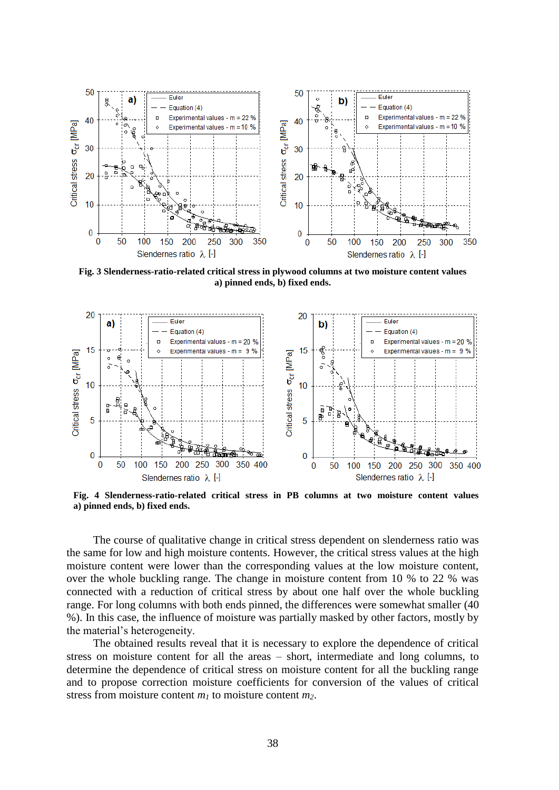

**Fig. 3 Slenderness-ratio-related critical stress in plywood columns at two moisture content values a) pinned ends, b) fixed ends.**



**Fig. 4 Slenderness-ratio-related critical stress in PB columns at two moisture content values a) pinned ends, b) fixed ends.**

The course of qualitative change in critical stress dependent on slenderness ratio was the same for low and high moisture contents. However, the critical stress values at the high moisture content were lower than the corresponding values at the low moisture content, over the whole buckling range. The change in moisture content from 10 % to 22 % was connected with a reduction of critical stress by about one half over the whole buckling range. For long columns with both ends pinned, the differences were somewhat smaller (40 %). In this case, the influence of moisture was partially masked by other factors, mostly by the material's heterogeneity.

The obtained results reveal that it is necessary to explore the dependence of critical stress on moisture content for all the areas – short, intermediate and long columns, to determine the dependence of critical stress on moisture content for all the buckling range and to propose correction moisture coefficients for conversion of the values of critical stress from moisture content *m<sup>1</sup>* to moisture content *m2*.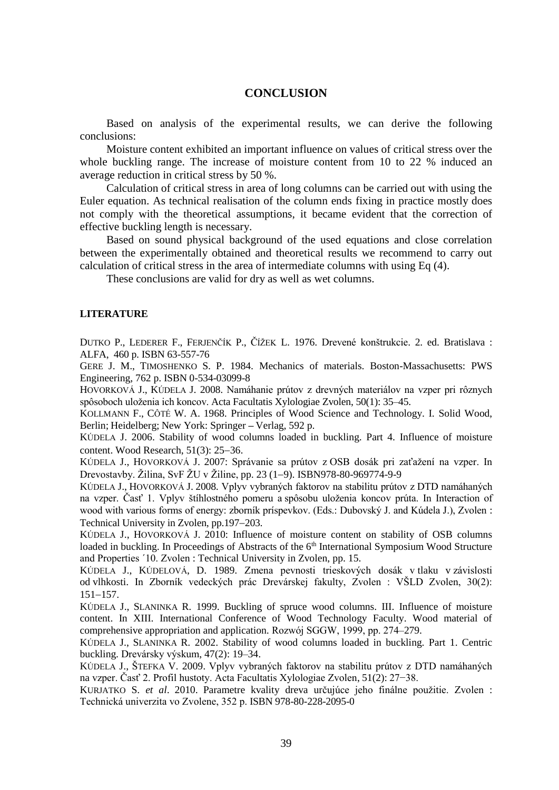### **CONCLUSION**

Based on analysis of the experimental results, we can derive the following conclusions:

Moisture content exhibited an important influence on values of critical stress over the whole buckling range. The increase of moisture content from 10 to 22 % induced an average reduction in critical stress by 50 %.

Calculation of critical stress in area of long columns can be carried out with using the Euler equation. As technical realisation of the column ends fixing in practice mostly does not comply with the theoretical assumptions, it became evident that the correction of effective buckling length is necessary.

Based on sound physical background of the used equations and close correlation between the experimentally obtained and theoretical results we recommend to carry out calculation of critical stress in the area of intermediate columns with using Eq (4).

These conclusions are valid for dry as well as wet columns.

#### **LITERATURE**

DUTKO P., LEDERER F., FERJENČÍK P., ČÍŽEK L. 1976. Drevené konštrukcie. 2. ed. Bratislava : ALFA, 460 p. ISBN 63-557-76

GERE J. M., TIMOSHENKO S. P. 1984. Mechanics of materials. Boston-Massachusetts: PWS Engineering, 762 p. ISBN 0-534-03099-8

HOVORKOVÁ J., KÚDELA J. 2008. Namáhanie prútov z drevných materiálov na vzper pri rôznych spôsoboch uloženia ich koncov. Acta Facultatis Xylologiae Zvolen, 50(1): 35–45.

KOLLMANN F., CÔTÉ W. A. 1968. Principles of Wood Science and Technology. I. Solid Wood, Berlin; Heidelberg; New York: Springer **–** Verlag, 592 p.

KÚDELA J. 2006. Stability of wood columns loaded in buckling. Part 4. Influence of moisture content. Wood Research,  $51(3)$ :  $25-36$ .

KÚDELA J., HOVORKOVÁ J. 2007: Správanie sa prútov z OSB dosák pri zaťažení na vzper. In Drevostavby. Žilina, SvF ŽU v Žiline, pp. 23 (1–9). ISBN 978-80-969774-9-9

KÚDELA J., HOVORKOVÁ J. 2008. Vplyv vybraných faktorov na stabilitu prútov z DTD namáhaných na vzper. Časť 1. Vplyv štíhlostného pomeru a spôsobu uloženia koncov prúta. In Interaction of wood with various forms of energy: zborník príspevkov. (Eds.: Dubovský J. and Kúdela J.), Zvolen : Technical University in Zvolen, pp. 197–203.

KÚDELA J., HOVORKOVÁ J. 2010: Influence of moisture content on stability of OSB columns loaded in buckling. In Proceedings of Abstracts of the 6<sup>th</sup> International Symposium Wood Structure and Properties ´10. Zvolen : Technical University in Zvolen, pp. 15.

KÚDELA J., KÚDELOVÁ, D. 1989. Zmena pevnosti trieskových dosák v tlaku v závislosti od vlhkosti. In Zborník vedeckých prác Drevárskej fakulty, Zvolen : VŠLD Zvolen, 30(2):  $151 - 157$ .

KÚDELA J., SLANINKA R. 1999. Buckling of spruce wood columns. III. Influence of moisture content. In XIII. International Conference of Wood Technology Faculty. Wood material of comprehensive appropriation and application. Rozwój SGGW, 1999, pp. 274–279.

KÚDELA J., SLANINKA R. 2002. Stability of wood columns loaded in buckling. Part 1. Centric buckling. Drevársky výskum, 47(2): 19–34.

KÚDELA J., ŠTEFKA V. 2009. Vplyv vybraných faktorov na stabilitu prútov z DTD namáhaných na vzper. Časť 2. Profil hustoty. Acta Facultatis Xylologiae Zvolen, 51(2): 27−38.

KURJATKO S. *et al*. 2010. Parametre kvality dreva určujúce jeho finálne použitie. Zvolen : Technická univerzita vo Zvolene, 352 p. ISBN 978-80-228-2095-0